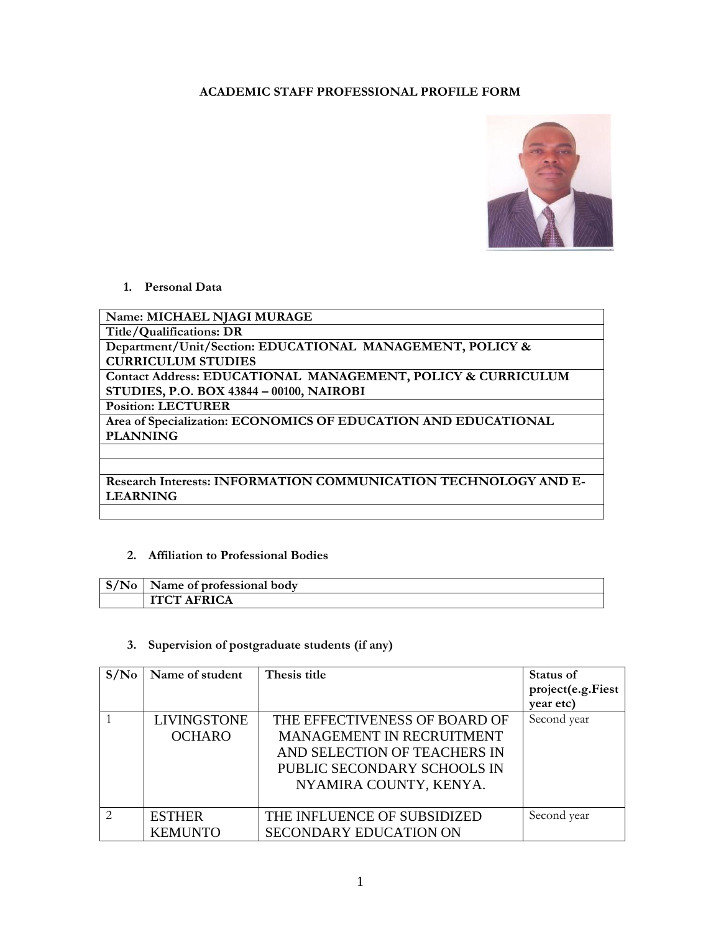## **ACADEMIC STAFF PROFESSIONAL PROFILE FORM**



## **1. Personal Data**

**Name: MICHAEL NJAGI MURAGE Title/Qualifications: DR Department/Unit/Section: EDUCATIONAL MANAGEMENT, POLICY & CURRICULUM STUDIES Contact Address: EDUCATIONAL MANAGEMENT, POLICY & CURRICULUM STUDIES, P.O. BOX 43844 – 00100, NAIROBI Position: LECTURER Area of Specialization: ECONOMICS OF EDUCATION AND EDUCATIONAL PLANNING**

**Research Interests: INFORMATION COMMUNICATION TECHNOLOGY AND E-LEARNING**

## **2. Affiliation to Professional Bodies**

| $S/N_0$ | Name of professional body |
|---------|---------------------------|
|         | <b>ITCT AFRICA</b>        |

## **3. Supervision of postgraduate students (if any)**

| S/N <sub>0</sub> | Name of student    | Thesis title                     | Status of         |
|------------------|--------------------|----------------------------------|-------------------|
|                  |                    |                                  | project(e.g.Fiest |
|                  |                    |                                  | year etc)         |
|                  | <b>LIVINGSTONE</b> | THE EFFECTIVENESS OF BOARD OF    | Second year       |
|                  | <b>OCHARO</b>      | <b>MANAGEMENT IN RECRUITMENT</b> |                   |
|                  |                    | AND SELECTION OF TEACHERS IN     |                   |
|                  |                    | PUBLIC SECONDARY SCHOOLS IN      |                   |
|                  |                    | NYAMIRA COUNTY, KENYA.           |                   |
|                  |                    |                                  |                   |
| $\mathcal{L}$    | <b>ESTHER</b>      | THE INFLUENCE OF SUBSIDIZED      | Second year       |
|                  | <b>KEMUNTO</b>     | <b>SECONDARY EDUCATION ON</b>    |                   |